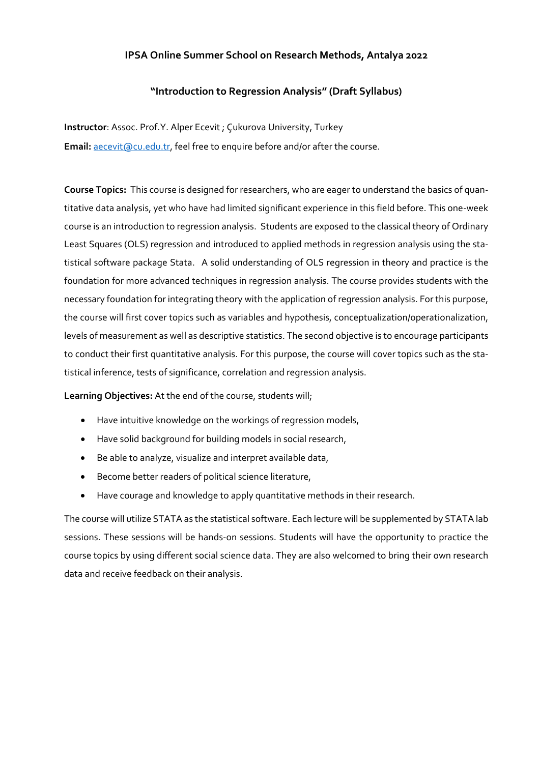## **IPSA Online Summer School on Research Methods, Antalya 2022**

## **"Introduction to Regression Analysis" (Draft Syllabus)**

**Instructor**: Assoc. Prof.Y. Alper Ecevit ; Çukurova University, Turkey **Email:** [aecevit@cu.edu.tr,](mailto:aecevit@cu.edu.tr) feel free to enquire before and/or after the course.

**Course Topics:** This course is designed for researchers, who are eager to understand the basics of quantitative data analysis, yet who have had limited significant experience in this field before. This one-week course is an introduction to regression analysis. Students are exposed to the classical theory of Ordinary Least Squares (OLS) regression and introduced to applied methods in regression analysis using the statistical software package Stata. A solid understanding of OLS regression in theory and practice is the foundation for more advanced techniques in regression analysis. The course provides students with the necessary foundation for integrating theory with the application of regression analysis. For this purpose, the course will first cover topics such as variables and hypothesis, conceptualization/operationalization, levels of measurement as well as descriptive statistics. The second objective is to encourage participants to conduct their first quantitative analysis. For this purpose, the course will cover topics such as the statistical inference, tests of significance, correlation and regression analysis.

**Learning Objectives:** At the end of the course, students will;

- Have intuitive knowledge on the workings of regression models,
- Have solid background for building models in social research,
- Be able to analyze, visualize and interpret available data,
- Become better readers of political science literature,
- Have courage and knowledge to apply quantitative methods in their research.

The course will utilize STATA as the statistical software. Each lecture will be supplemented by STATA lab sessions. These sessions will be hands-on sessions. Students will have the opportunity to practice the course topics by using different social science data. They are also welcomed to bring their own research data and receive feedback on their analysis.